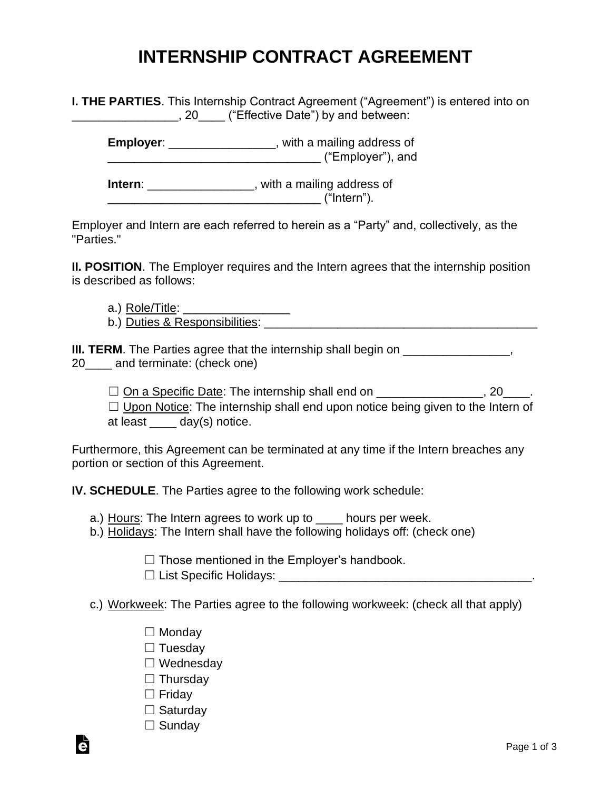## **INTERNSHIP CONTRACT AGREEMENT**

**I. THE PARTIES**. This Internship Contract Agreement ("Agreement") is entered into on **Example 20** ("Effective Date") by and between:

**Employer:** \_\_\_\_\_\_\_\_\_\_\_\_\_\_\_\_, with a mailing address of \_\_\_\_\_\_\_\_\_\_\_\_\_\_\_\_\_\_\_\_\_\_\_\_\_\_\_\_\_\_\_\_ ("Employer"), and

**Intern**: \_\_\_\_\_\_\_\_\_\_\_\_\_\_\_\_, with a mailing address of  $("Intern").$ 

Employer and Intern are each referred to herein as a "Party" and, collectively, as the "Parties."

**II. POSITION**. The Employer requires and the Intern agrees that the internship position is described as follows:

a.) Role/Title:

b.) Duties & Responsibilities: **Example 20** and the set of the set of the set of the set of the set of the set of the set of the set of the set of the set of the set of the set of the set of the set of the set of the set o

**III. TERM**. The Parties agree that the internship shall begin on \_\_\_\_\_\_\_\_\_\_\_\_\_\_\_, 20 and terminate: (check one)

 $\Box$  On a Specific Date: The internship shall end on \_\_\_\_\_\_\_\_\_\_\_\_\_\_, 20\_\_\_\_.  $\Box$  Upon Notice: The internship shall end upon notice being given to the Intern of at least \_\_\_\_ day(s) notice.

Furthermore, this Agreement can be terminated at any time if the Intern breaches any portion or section of this Agreement.

**IV. SCHEDULE**. The Parties agree to the following work schedule:

a.) Hours: The Intern agrees to work up to \_\_\_\_ hours per week.

b.) Holidays: The Intern shall have the following holidays off: (check one)

 $\Box$  Those mentioned in the Employer's handbook.

- ☐ List Specific Holidays: \_\_\_\_\_\_\_\_\_\_\_\_\_\_\_\_\_\_\_\_\_\_\_\_\_\_\_\_\_\_\_\_\_\_\_\_\_\_.
- c.) Workweek: The Parties agree to the following workweek: (check all that apply)
	- ☐ Monday
	- □ Tuesday
	- ☐ Wednesday
	- □ Thursday
	- ☐ Friday
	- □ Saturday
	- □ Sunday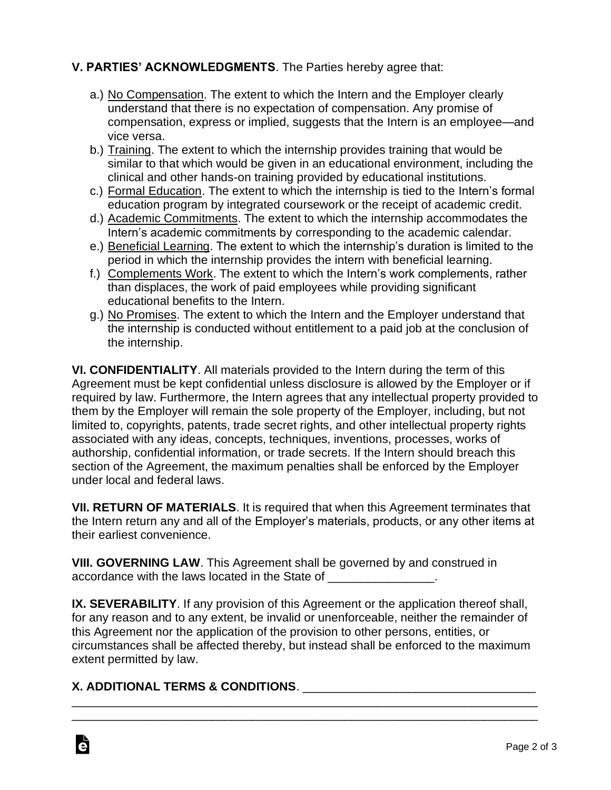## **V. PARTIES' ACKNOWLEDGMENTS**. The Parties hereby agree that:

- a.) No Compensation. The extent to which the Intern and the Employer clearly understand that there is no expectation of compensation. Any promise of compensation, express or implied, suggests that the Intern is an employee—and vice versa.
- b.) Training. The extent to which the internship provides training that would be similar to that which would be given in an educational environment, including the clinical and other hands-on training provided by educational institutions.
- c.) Formal Education. The extent to which the internship is tied to the Intern's formal education program by integrated coursework or the receipt of academic credit.
- d.) Academic Commitments. The extent to which the internship accommodates the Intern's academic commitments by corresponding to the academic calendar.
- e.) Beneficial Learning. The extent to which the internship's duration is limited to the period in which the internship provides the intern with beneficial learning.
- f.) Complements Work. The extent to which the Intern's work complements, rather than displaces, the work of paid employees while providing significant educational benefits to the Intern.
- g.) No Promises. The extent to which the Intern and the Employer understand that the internship is conducted without entitlement to a paid job at the conclusion of the internship.

**VI. CONFIDENTIALITY**. All materials provided to the Intern during the term of this Agreement must be kept confidential unless disclosure is allowed by the Employer or if required by law. Furthermore, the Intern agrees that any intellectual property provided to them by the Employer will remain the sole property of the Employer, including, but not limited to, copyrights, patents, trade secret rights, and other intellectual property rights associated with any ideas, concepts, techniques, inventions, processes, works of authorship, confidential information, or trade secrets. If the Intern should breach this section of the Agreement, the maximum penalties shall be enforced by the Employer under local and federal laws.

**VII. RETURN OF MATERIALS**. It is required that when this Agreement terminates that the Intern return any and all of the Employer's materials, products, or any other items at their earliest convenience.

**VIII. GOVERNING LAW**. This Agreement shall be governed by and construed in accordance with the laws located in the State of

**IX. SEVERABILITY**. If any provision of this Agreement or the application thereof shall, for any reason and to any extent, be invalid or unenforceable, neither the remainder of this Agreement nor the application of the provision to other persons, entities, or circumstances shall be affected thereby, but instead shall be enforced to the maximum extent permitted by law.

\_\_\_\_\_\_\_\_\_\_\_\_\_\_\_\_\_\_\_\_\_\_\_\_\_\_\_\_\_\_\_\_\_\_\_\_\_\_\_\_\_\_\_\_\_\_\_\_\_\_\_\_\_\_\_\_\_\_\_\_\_\_\_\_\_\_\_\_\_\_ \_\_\_\_\_\_\_\_\_\_\_\_\_\_\_\_\_\_\_\_\_\_\_\_\_\_\_\_\_\_\_\_\_\_\_\_\_\_\_\_\_\_\_\_\_\_\_\_\_\_\_\_\_\_\_\_\_\_\_\_\_\_\_\_\_\_\_\_\_\_

## **X. ADDITIONAL TERMS & CONDITIONS**. \_\_\_\_\_\_\_\_\_\_\_\_\_\_\_\_\_\_\_\_\_\_\_\_\_\_\_\_\_\_\_\_\_\_\_